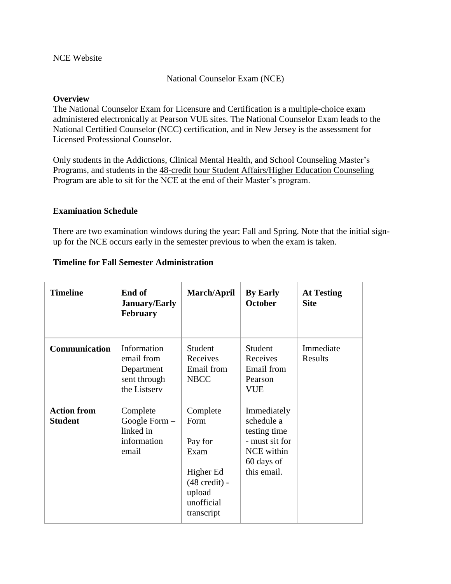National Counselor Exam (NCE)

### **Overview**

The National Counselor Exam for Licensure and Certification is a multiple-choice exam administered electronically at Pearson VUE sites. The National Counselor Exam leads to the National Certified Counselor (NCC) certification, and in New Jersey is the assessment for Licensed Professional Counselor.

Only students in the Addictions, Clinical Mental Health, and School Counseling Master's Programs, and students in the 48-credit hour Student Affairs/Higher Education Counseling Program are able to sit for the NCE at the end of their Master's program.

### **Examination Schedule**

There are two examination windows during the year: Fall and Spring. Note that the initial signup for the NCE occurs early in the semester previous to when the exam is taken.

| <b>Timeline</b>                      | End of<br><b>January/Early</b><br><b>February</b>                       | March/April                                                                                                       | <b>By Early</b><br><b>October</b>                                                                      | <b>At Testing</b><br><b>Site</b> |
|--------------------------------------|-------------------------------------------------------------------------|-------------------------------------------------------------------------------------------------------------------|--------------------------------------------------------------------------------------------------------|----------------------------------|
| <b>Communication</b>                 | Information<br>email from<br>Department<br>sent through<br>the Listserv | Student<br>Receives<br>Email from<br><b>NBCC</b>                                                                  | Student<br>Receives<br>Email from<br>Pearson<br><b>VUE</b>                                             | Immediate<br>Results             |
| <b>Action from</b><br><b>Student</b> | Complete<br>Google Form $-$<br>linked in<br>information<br>email        | Complete<br>Form<br>Pay for<br>Exam<br>Higher Ed<br>$(48 \text{ credit})$ -<br>upload<br>unofficial<br>transcript | Immediately<br>schedule a<br>testing time<br>- must sit for<br>NCE within<br>60 days of<br>this email. |                                  |

#### **Timeline for Fall Semester Administration**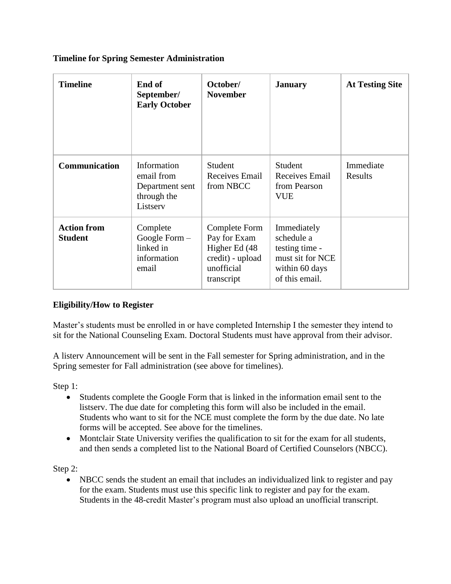## **Timeline for Spring Semester Administration**

| <b>Timeline</b>                      | End of<br>September/<br><b>Early October</b>                            | October/<br><b>November</b>                                                                    | <b>January</b>                                                                                      | <b>At Testing Site</b> |
|--------------------------------------|-------------------------------------------------------------------------|------------------------------------------------------------------------------------------------|-----------------------------------------------------------------------------------------------------|------------------------|
| <b>Communication</b>                 | Information<br>email from<br>Department sent<br>through the<br>Listserv | Student<br>Receives Email<br>from NBCC                                                         | Student<br>Receives Email<br>from Pearson<br><b>VUE</b>                                             | Immediate<br>Results   |
| <b>Action from</b><br><b>Student</b> | Complete<br>Google Form $-$<br>linked in<br>information<br>email        | Complete Form<br>Pay for Exam<br>Higher Ed (48<br>credit) - upload<br>unofficial<br>transcript | Immediately<br>schedule a<br>testing time -<br>must sit for NCE<br>within 60 days<br>of this email. |                        |

# **Eligibility/How to Register**

Master's students must be enrolled in or have completed Internship I the semester they intend to sit for the National Counseling Exam. Doctoral Students must have approval from their advisor.

A listerv Announcement will be sent in the Fall semester for Spring administration, and in the Spring semester for Fall administration (see above for timelines).

Step 1:

- Students complete the Google Form that is linked in the information email sent to the listserv. The due date for completing this form will also be included in the email. Students who want to sit for the NCE must complete the form by the due date. No late forms will be accepted. See above for the timelines.
- Montclair State University verifies the qualification to sit for the exam for all students, and then sends a completed list to the National Board of Certified Counselors (NBCC).

Step 2:

 NBCC sends the student an email that includes an individualized link to register and pay for the exam. Students must use this specific link to register and pay for the exam. Students in the 48-credit Master's program must also upload an unofficial transcript.